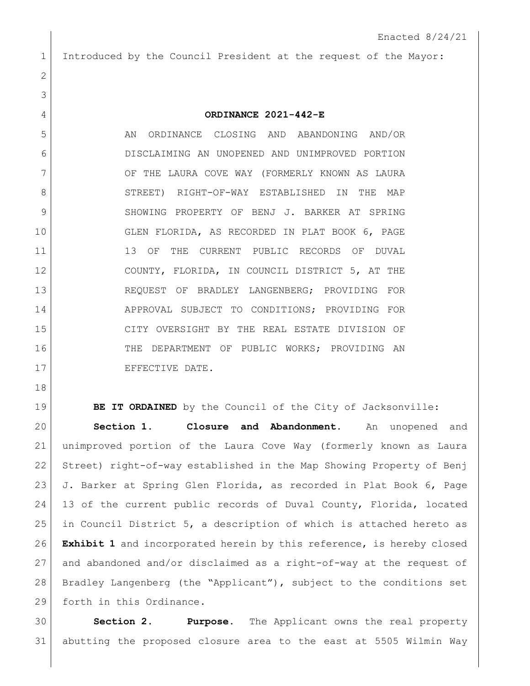Introduced by the Council President at the request of the Mayor:

**ORDINANCE 2021-442-E**

5 AN ORDINANCE CLOSING AND ABANDONING AND/OR DISCLAIMING AN UNOPENED AND UNIMPROVED PORTION 7 OF THE LAURA COVE WAY (FORMERLY KNOWN AS LAURA STREET) RIGHT-OF-WAY ESTABLISHED IN THE MAP 9 SHOWING PROPERTY OF BENJ J. BARKER AT SPRING GLEN FLORIDA, AS RECORDED IN PLAT BOOK 6, PAGE 11 13 OF THE CURRENT PUBLIC RECORDS OF DUVAL COUNTY, FLORIDA, IN COUNCIL DISTRICT 5, AT THE REQUEST OF BRADLEY LANGENBERG; PROVIDING FOR APPROVAL SUBJECT TO CONDITIONS; PROVIDING FOR CITY OVERSIGHT BY THE REAL ESTATE DIVISION OF 16 THE DEPARTMENT OF PUBLIC WORKS; PROVIDING AN 17 EFFECTIVE DATE.

**BE IT ORDAINED** by the Council of the City of Jacksonville: **Section 1. Closure and Abandonment.** An unopened and unimproved portion of the Laura Cove Way (formerly known as Laura Street) right-of-way established in the Map Showing Property of Benj 23 J. Barker at Spring Glen Florida, as recorded in Plat Book 6, Page 13 of the current public records of Duval County, Florida, located in Council District 5, a description of which is attached hereto as **Exhibit 1** and incorporated herein by this reference, is hereby closed and abandoned and/or disclaimed as a right-of-way at the request of Bradley Langenberg (the "Applicant"), subject to the conditions set 29 forth in this Ordinance.

 **Section 2. Purpose.** The Applicant owns the real property abutting the proposed closure area to the east at 5505 Wilmin Way